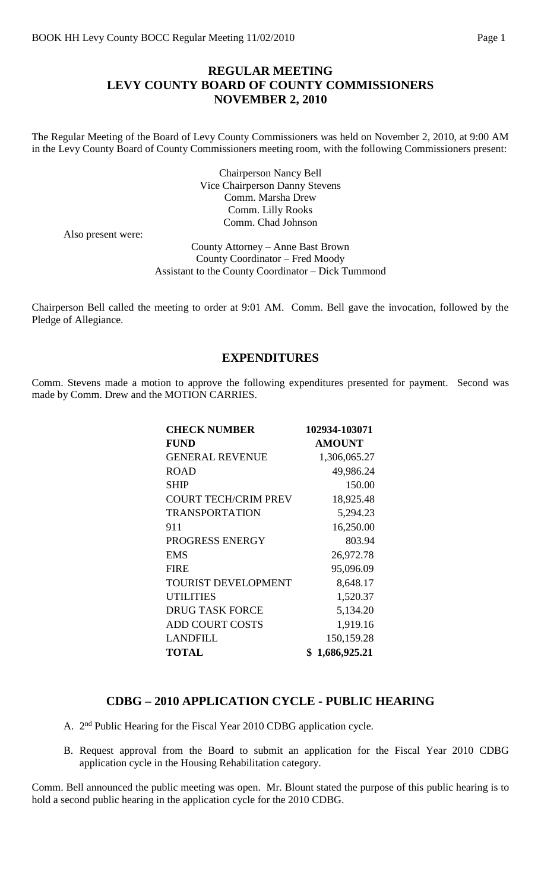## **REGULAR MEETING LEVY COUNTY BOARD OF COUNTY COMMISSIONERS NOVEMBER 2, 2010**

The Regular Meeting of the Board of Levy County Commissioners was held on November 2, 2010, at 9:00 AM in the Levy County Board of County Commissioners meeting room, with the following Commissioners present:

> Chairperson Nancy Bell Vice Chairperson Danny Stevens Comm. Marsha Drew Comm. Lilly Rooks Comm. Chad Johnson

Also present were:

County Attorney – Anne Bast Brown County Coordinator – Fred Moody Assistant to the County Coordinator – Dick Tummond

Chairperson Bell called the meeting to order at 9:01 AM. Comm. Bell gave the invocation, followed by the Pledge of Allegiance.

#### **EXPENDITURES**

Comm. Stevens made a motion to approve the following expenditures presented for payment. Second was made by Comm. Drew and the MOTION CARRIES.

| <b>CHECK NUMBER</b>         | 102934-103071  |
|-----------------------------|----------------|
| <b>FUND</b>                 | <b>AMOUNT</b>  |
| <b>GENERAL REVENUE</b>      | 1,306,065.27   |
| <b>ROAD</b>                 | 49,986.24      |
| <b>SHIP</b>                 | 150.00         |
| <b>COURT TECH/CRIM PREV</b> | 18,925.48      |
| <b>TRANSPORTATION</b>       | 5,294.23       |
| 911                         | 16,250.00      |
| PROGRESS ENERGY             | 803.94         |
| <b>EMS</b>                  | 26,972.78      |
| <b>FIRE</b>                 | 95,096.09      |
| <b>TOURIST DEVELOPMENT</b>  | 8,648.17       |
| <b>UTILITIES</b>            | 1,520.37       |
| <b>DRUG TASK FORCE</b>      | 5,134.20       |
| <b>ADD COURT COSTS</b>      | 1,919.16       |
| <b>LANDFILL</b>             | 150,159.28     |
| <b>TOTAL</b>                | \$1,686,925.21 |

#### **CDBG – 2010 APPLICATION CYCLE - PUBLIC HEARING**

- A. 2<sup>nd</sup> Public Hearing for the Fiscal Year 2010 CDBG application cycle.
- B. Request approval from the Board to submit an application for the Fiscal Year 2010 CDBG application cycle in the Housing Rehabilitation category.

Comm. Bell announced the public meeting was open. Mr. Blount stated the purpose of this public hearing is to hold a second public hearing in the application cycle for the 2010 CDBG.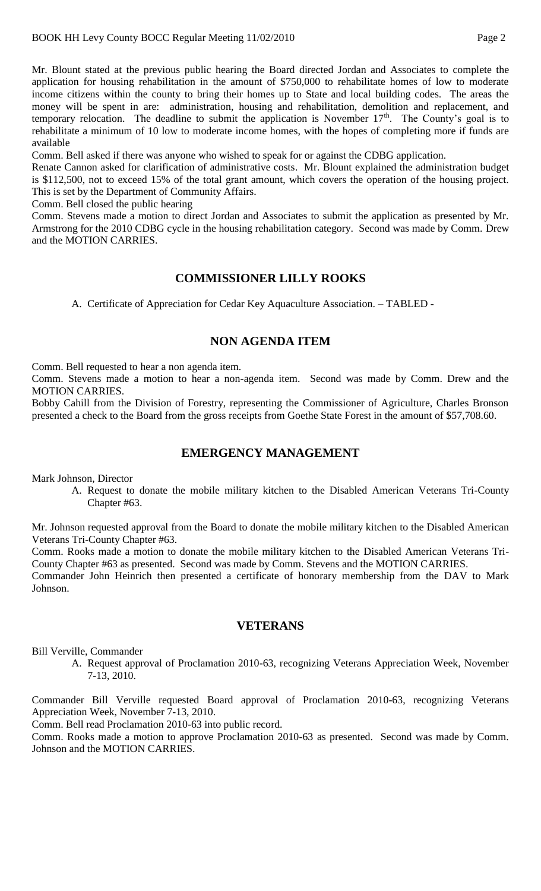Mr. Blount stated at the previous public hearing the Board directed Jordan and Associates to complete the application for housing rehabilitation in the amount of \$750,000 to rehabilitate homes of low to moderate income citizens within the county to bring their homes up to State and local building codes. The areas the money will be spent in are: administration, housing and rehabilitation, demolition and replacement, and temporary relocation. The deadline to submit the application is November 17<sup>th</sup>. The County's goal is to rehabilitate a minimum of 10 low to moderate income homes, with the hopes of completing more if funds are available

Comm. Bell asked if there was anyone who wished to speak for or against the CDBG application.

Renate Cannon asked for clarification of administrative costs. Mr. Blount explained the administration budget is \$112,500, not to exceed 15% of the total grant amount, which covers the operation of the housing project. This is set by the Department of Community Affairs.

Comm. Bell closed the public hearing

Comm. Stevens made a motion to direct Jordan and Associates to submit the application as presented by Mr. Armstrong for the 2010 CDBG cycle in the housing rehabilitation category. Second was made by Comm. Drew and the MOTION CARRIES.

### **COMMISSIONER LILLY ROOKS**

A. Certificate of Appreciation for Cedar Key Aquaculture Association. – TABLED -

## **NON AGENDA ITEM**

Comm. Bell requested to hear a non agenda item.

Comm. Stevens made a motion to hear a non-agenda item. Second was made by Comm. Drew and the MOTION CARRIES.

Bobby Cahill from the Division of Forestry, representing the Commissioner of Agriculture, Charles Bronson presented a check to the Board from the gross receipts from Goethe State Forest in the amount of \$57,708.60.

#### **EMERGENCY MANAGEMENT**

Mark Johnson, Director

A. Request to donate the mobile military kitchen to the Disabled American Veterans Tri-County Chapter #63.

Mr. Johnson requested approval from the Board to donate the mobile military kitchen to the Disabled American Veterans Tri-County Chapter #63.

Comm. Rooks made a motion to donate the mobile military kitchen to the Disabled American Veterans Tri-County Chapter #63 as presented. Second was made by Comm. Stevens and the MOTION CARRIES.

Commander John Heinrich then presented a certificate of honorary membership from the DAV to Mark Johnson.

#### **VETERANS**

Bill Verville, Commander

A. Request approval of Proclamation 2010-63, recognizing Veterans Appreciation Week, November 7-13, 2010.

Commander Bill Verville requested Board approval of Proclamation 2010-63, recognizing Veterans Appreciation Week, November 7-13, 2010.

Comm. Bell read Proclamation 2010-63 into public record.

Comm. Rooks made a motion to approve Proclamation 2010-63 as presented. Second was made by Comm. Johnson and the MOTION CARRIES.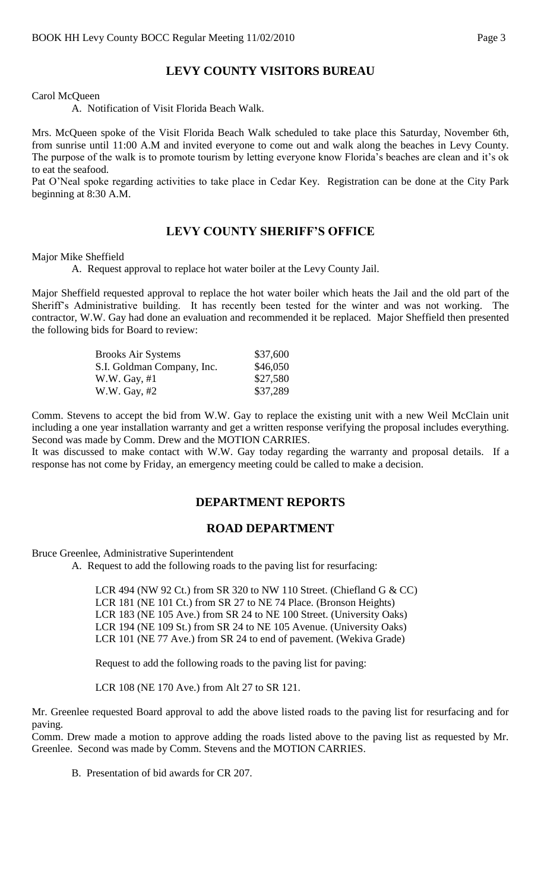## **LEVY COUNTY VISITORS BUREAU**

Carol McQueen

A. Notification of Visit Florida Beach Walk.

Mrs. McQueen spoke of the Visit Florida Beach Walk scheduled to take place this Saturday, November 6th, from sunrise until 11:00 A.M and invited everyone to come out and walk along the beaches in Levy County. The purpose of the walk is to promote tourism by letting everyone know Florida's beaches are clean and it's ok to eat the seafood.

Pat O'Neal spoke regarding activities to take place in Cedar Key. Registration can be done at the City Park beginning at 8:30 A.M.

### **LEVY COUNTY SHERIFF'S OFFICE**

Major Mike Sheffield

A. Request approval to replace hot water boiler at the Levy County Jail.

Major Sheffield requested approval to replace the hot water boiler which heats the Jail and the old part of the Sheriff's Administrative building. It has recently been tested for the winter and was not working. The contractor, W.W. Gay had done an evaluation and recommended it be replaced. Major Sheffield then presented the following bids for Board to review:

| <b>Brooks Air Systems</b>  | \$37,600 |
|----------------------------|----------|
| S.I. Goldman Company, Inc. | \$46,050 |
| W.W. Gay, #1               | \$27,580 |
| W.W. Gay, #2               | \$37,289 |

Comm. Stevens to accept the bid from W.W. Gay to replace the existing unit with a new Weil McClain unit including a one year installation warranty and get a written response verifying the proposal includes everything. Second was made by Comm. Drew and the MOTION CARRIES.

It was discussed to make contact with W.W. Gay today regarding the warranty and proposal details. If a response has not come by Friday, an emergency meeting could be called to make a decision.

#### **DEPARTMENT REPORTS**

#### **ROAD DEPARTMENT**

Bruce Greenlee, Administrative Superintendent

A. Request to add the following roads to the paving list for resurfacing:

LCR 494 (NW 92 Ct.) from SR 320 to NW 110 Street. (Chiefland G & CC) LCR 181 (NE 101 Ct.) from SR 27 to NE 74 Place. (Bronson Heights) LCR 183 (NE 105 Ave.) from SR 24 to NE 100 Street. (University Oaks) LCR 194 (NE 109 St.) from SR 24 to NE 105 Avenue. (University Oaks) LCR 101 (NE 77 Ave.) from SR 24 to end of pavement. (Wekiva Grade)

Request to add the following roads to the paving list for paving:

LCR 108 (NE 170 Ave.) from Alt 27 to SR 121.

Mr. Greenlee requested Board approval to add the above listed roads to the paving list for resurfacing and for paving.

Comm. Drew made a motion to approve adding the roads listed above to the paving list as requested by Mr. Greenlee. Second was made by Comm. Stevens and the MOTION CARRIES.

B. Presentation of bid awards for CR 207.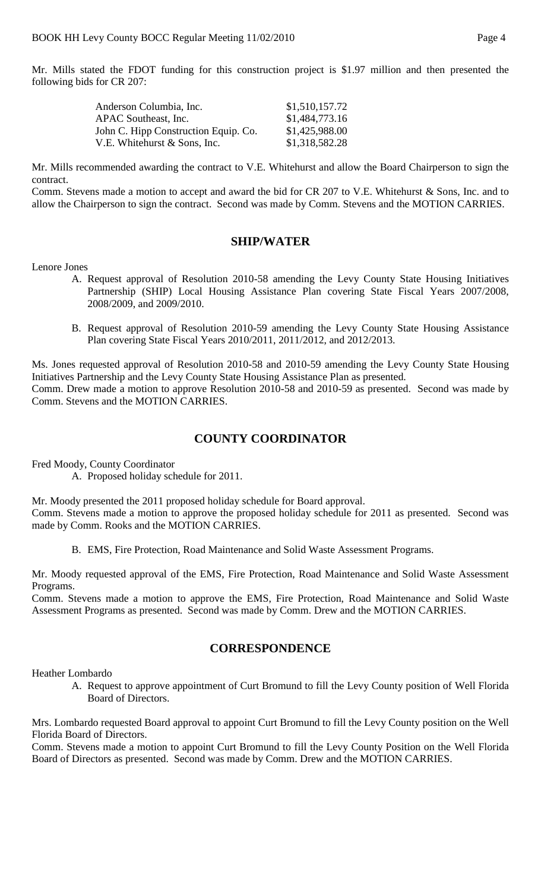Mr. Mills stated the FDOT funding for this construction project is \$1.97 million and then presented the following bids for CR 207:

| Anderson Columbia, Inc.              | \$1,510,157.72 |
|--------------------------------------|----------------|
| APAC Southeast, Inc.                 | \$1,484,773.16 |
| John C. Hipp Construction Equip. Co. | \$1,425,988.00 |
| V.E. Whitehurst & Sons, Inc.         | \$1,318,582.28 |

Mr. Mills recommended awarding the contract to V.E. Whitehurst and allow the Board Chairperson to sign the contract.

Comm. Stevens made a motion to accept and award the bid for CR 207 to V.E. Whitehurst & Sons, Inc. and to allow the Chairperson to sign the contract. Second was made by Comm. Stevens and the MOTION CARRIES.

#### **SHIP/WATER**

Lenore Jones

- A. Request approval of Resolution 2010-58 amending the Levy County State Housing Initiatives Partnership (SHIP) Local Housing Assistance Plan covering State Fiscal Years 2007/2008, 2008/2009, and 2009/2010.
- B. Request approval of Resolution 2010-59 amending the Levy County State Housing Assistance Plan covering State Fiscal Years 2010/2011, 2011/2012, and 2012/2013.

Ms. Jones requested approval of Resolution 2010-58 and 2010-59 amending the Levy County State Housing Initiatives Partnership and the Levy County State Housing Assistance Plan as presented. Comm. Drew made a motion to approve Resolution 2010-58 and 2010-59 as presented. Second was made by Comm. Stevens and the MOTION CARRIES.

# **COUNTY COORDINATOR**

Fred Moody, County Coordinator

A. Proposed holiday schedule for 2011.

Mr. Moody presented the 2011 proposed holiday schedule for Board approval. Comm. Stevens made a motion to approve the proposed holiday schedule for 2011 as presented. Second was made by Comm. Rooks and the MOTION CARRIES.

B. EMS, Fire Protection, Road Maintenance and Solid Waste Assessment Programs.

Mr. Moody requested approval of the EMS, Fire Protection, Road Maintenance and Solid Waste Assessment Programs.

Comm. Stevens made a motion to approve the EMS, Fire Protection, Road Maintenance and Solid Waste Assessment Programs as presented. Second was made by Comm. Drew and the MOTION CARRIES.

#### **CORRESPONDENCE**

Heather Lombardo

A. Request to approve appointment of Curt Bromund to fill the Levy County position of Well Florida Board of Directors.

Mrs. Lombardo requested Board approval to appoint Curt Bromund to fill the Levy County position on the Well Florida Board of Directors.

Comm. Stevens made a motion to appoint Curt Bromund to fill the Levy County Position on the Well Florida Board of Directors as presented. Second was made by Comm. Drew and the MOTION CARRIES.